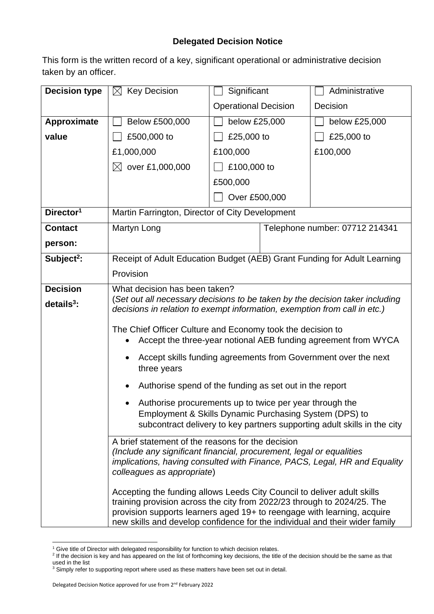## **Delegated Decision Notice**

This form is the written record of a key, significant operational or administrative decision taken by an officer.

| <b>Decision type</b>   | <b>Key Decision</b><br>$\boxtimes$                                                                                                                                                                                                                                                                           | Significant                 |  | Administrative                 |  |
|------------------------|--------------------------------------------------------------------------------------------------------------------------------------------------------------------------------------------------------------------------------------------------------------------------------------------------------------|-----------------------------|--|--------------------------------|--|
|                        |                                                                                                                                                                                                                                                                                                              | <b>Operational Decision</b> |  | Decision                       |  |
| Approximate            | Below £500,000                                                                                                                                                                                                                                                                                               | below £25,000               |  | below £25,000                  |  |
| value                  | £500,000 to                                                                                                                                                                                                                                                                                                  | £25,000 to                  |  | £25,000 to                     |  |
|                        | £1,000,000                                                                                                                                                                                                                                                                                                   | £100,000                    |  | £100,000                       |  |
|                        | $\boxtimes$ over £1,000,000                                                                                                                                                                                                                                                                                  | £100,000 to                 |  |                                |  |
|                        |                                                                                                                                                                                                                                                                                                              | £500,000                    |  |                                |  |
|                        |                                                                                                                                                                                                                                                                                                              | Over £500,000               |  |                                |  |
| Director <sup>1</sup>  | Martin Farrington, Director of City Development                                                                                                                                                                                                                                                              |                             |  |                                |  |
| <b>Contact</b>         | Martyn Long                                                                                                                                                                                                                                                                                                  |                             |  | Telephone number: 07712 214341 |  |
| person:                |                                                                                                                                                                                                                                                                                                              |                             |  |                                |  |
| Subject <sup>2</sup> : | Receipt of Adult Education Budget (AEB) Grant Funding for Adult Learning                                                                                                                                                                                                                                     |                             |  |                                |  |
|                        | Provision                                                                                                                                                                                                                                                                                                    |                             |  |                                |  |
| <b>Decision</b>        | What decision has been taken?                                                                                                                                                                                                                                                                                |                             |  |                                |  |
| $details3$ :           | (Set out all necessary decisions to be taken by the decision taker including<br>decisions in relation to exempt information, exemption from call in etc.)                                                                                                                                                    |                             |  |                                |  |
|                        | The Chief Officer Culture and Economy took the decision to<br>Accept the three-year notional AEB funding agreement from WYCA                                                                                                                                                                                 |                             |  |                                |  |
|                        | Accept skills funding agreements from Government over the next<br>three years                                                                                                                                                                                                                                |                             |  |                                |  |
|                        | Authorise spend of the funding as set out in the report                                                                                                                                                                                                                                                      |                             |  |                                |  |
|                        | Authorise procurements up to twice per year through the<br>Employment & Skills Dynamic Purchasing System (DPS) to<br>subcontract delivery to key partners supporting adult skills in the city                                                                                                                |                             |  |                                |  |
|                        | A brief statement of the reasons for the decision<br>(Include any significant financial, procurement, legal or equalities<br>implications, having consulted with Finance, PACS, Legal, HR and Equality<br>colleagues as appropriate)                                                                         |                             |  |                                |  |
|                        | Accepting the funding allows Leeds City Council to deliver adult skills<br>training provision across the city from 2022/23 through to 2024/25. The<br>provision supports learners aged 19+ to reengage with learning, acquire<br>new skills and develop confidence for the individual and their wider family |                             |  |                                |  |

<sup>&</sup>lt;sup>1</sup> Give title of Director with delegated responsibility for function to which decision relates.<br><sup>2</sup> If the decision is key and has appeared on the list of forthcoming key decisions, the title of the decision should be the used in the list

 $3$  Simply refer to supporting report where used as these matters have been set out in detail.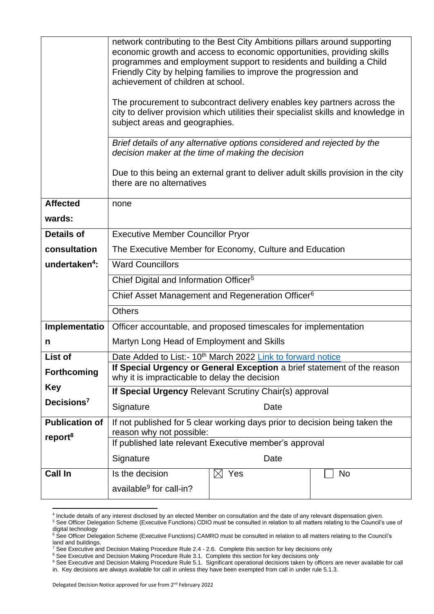|                           | network contributing to the Best City Ambitions pillars around supporting<br>economic growth and access to economic opportunities, providing skills<br>programmes and employment support to residents and building a Child<br>Friendly City by helping families to improve the progression and<br>achievement of children at school. |      |    |  |  |
|---------------------------|--------------------------------------------------------------------------------------------------------------------------------------------------------------------------------------------------------------------------------------------------------------------------------------------------------------------------------------|------|----|--|--|
|                           | The procurement to subcontract delivery enables key partners across the<br>city to deliver provision which utilities their specialist skills and knowledge in<br>subject areas and geographies.                                                                                                                                      |      |    |  |  |
|                           | Brief details of any alternative options considered and rejected by the<br>decision maker at the time of making the decision                                                                                                                                                                                                         |      |    |  |  |
|                           | Due to this being an external grant to deliver adult skills provision in the city<br>there are no alternatives                                                                                                                                                                                                                       |      |    |  |  |
| <b>Affected</b>           | none                                                                                                                                                                                                                                                                                                                                 |      |    |  |  |
| wards:                    |                                                                                                                                                                                                                                                                                                                                      |      |    |  |  |
| <b>Details of</b>         | <b>Executive Member Councillor Pryor</b>                                                                                                                                                                                                                                                                                             |      |    |  |  |
| consultation              | The Executive Member for Economy, Culture and Education                                                                                                                                                                                                                                                                              |      |    |  |  |
| undertaken <sup>4</sup> : | <b>Ward Councillors</b>                                                                                                                                                                                                                                                                                                              |      |    |  |  |
|                           | Chief Digital and Information Officer <sup>5</sup>                                                                                                                                                                                                                                                                                   |      |    |  |  |
|                           | Chief Asset Management and Regeneration Officer <sup>6</sup>                                                                                                                                                                                                                                                                         |      |    |  |  |
|                           | <b>Others</b>                                                                                                                                                                                                                                                                                                                        |      |    |  |  |
| Implementatio             | Officer accountable, and proposed timescales for implementation                                                                                                                                                                                                                                                                      |      |    |  |  |
| n                         | Martyn Long Head of Employment and Skills                                                                                                                                                                                                                                                                                            |      |    |  |  |
| List of                   | Date Added to List:- 10 <sup>th</sup> March 2022 Link to forward notice                                                                                                                                                                                                                                                              |      |    |  |  |
| <b>Forthcoming</b>        | If Special Urgency or General Exception a brief statement of the reason<br>why it is impracticable to delay the decision                                                                                                                                                                                                             |      |    |  |  |
| <b>Key</b>                | If Special Urgency Relevant Scrutiny Chair(s) approval                                                                                                                                                                                                                                                                               |      |    |  |  |
| Decisions <sup>7</sup>    | Signature                                                                                                                                                                                                                                                                                                                            | Date |    |  |  |
| <b>Publication of</b>     | If not published for 5 clear working days prior to decision being taken the                                                                                                                                                                                                                                                          |      |    |  |  |
| report <sup>8</sup>       | reason why not possible:<br>If published late relevant Executive member's approval                                                                                                                                                                                                                                                   |      |    |  |  |
|                           | Signature                                                                                                                                                                                                                                                                                                                            | Date |    |  |  |
| <b>Call In</b>            | Yes<br>Is the decision<br>$\boxtimes$                                                                                                                                                                                                                                                                                                |      | No |  |  |
|                           | available <sup>9</sup> for call-in?                                                                                                                                                                                                                                                                                                  |      |    |  |  |

<sup>4</sup> Include details of any interest disclosed by an elected Member on consultation and the date of any relevant dispensation given. <sup>5</sup> See Officer Delegation Scheme (Executive Functions) CDIO must be consulted in relation to all matters relating to the Council's use of

digital technology

<sup>&</sup>lt;sup>6</sup> See Officer Delegation Scheme (Executive Functions) CAMRO must be consulted in relation to all matters relating to the Council's land and buildings.

 $^7$  See Executive and Decision Making Procedure Rule 2.4 - 2.6. Complete this section for key decisions only

<sup>&</sup>lt;sup>8</sup> See Executive and Decision Making Procedure Rule 3.1. Complete this section for key decisions only

<sup>9</sup> See Executive and Decision Making Procedure Rule 5.1. Significant operational decisions taken by officers are never available for call in. Key decisions are always available for call in unless they have been exempted from call in under rule 5.1.3.